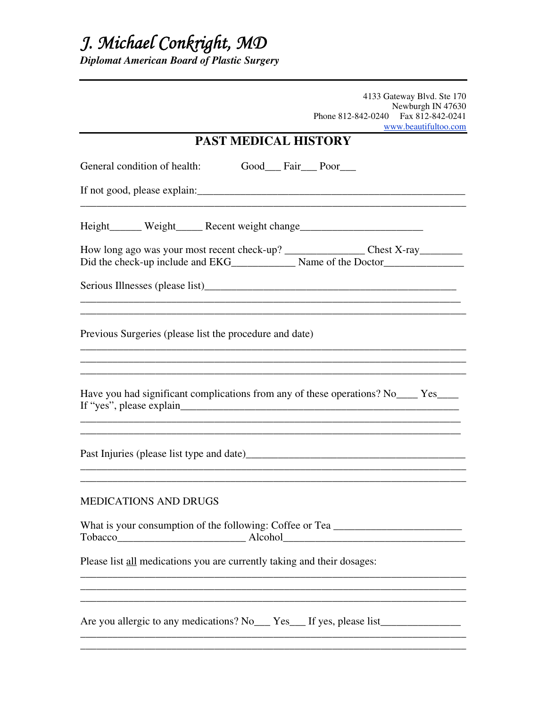## *J. Michael Conkright, MD*

*Diplomat American Board of Plastic Surgery* 

4133 Gateway Blvd. Ste 170 Newburgh IN 47630 Phone 812-842-0240 Fax 812-842-0241 www.beautifultoo.com **PAST MEDICAL HISTORY**  General condition of health: Good\_\_\_ Fair\_\_\_ Poor\_\_\_ If not good, please explain:\_\_\_\_\_\_\_\_\_\_\_\_\_\_\_\_\_\_\_\_\_\_\_\_\_\_\_\_\_\_\_\_\_\_\_\_\_\_\_\_\_\_\_\_\_\_\_\_\_\_ \_\_\_\_\_\_\_\_\_\_\_\_\_\_\_\_\_\_\_\_\_\_\_\_\_\_\_\_\_\_\_\_\_\_\_\_\_\_\_\_\_\_\_\_\_\_\_\_\_\_\_\_\_\_\_\_\_\_\_\_\_\_\_\_\_\_\_\_\_\_\_\_ Height\_\_\_\_\_\_ Weight\_\_\_\_\_ Recent weight change\_\_\_\_\_\_\_\_\_\_\_\_\_\_\_\_\_\_\_\_\_\_\_\_\_\_\_\_\_\_\_\_\_\_\_ How long ago was your most recent check-up? \_\_\_\_\_\_\_\_\_\_\_\_\_\_\_ Chest X-ray\_\_\_\_\_\_\_\_ Did the check-up include and EKG\_\_\_\_\_\_\_\_\_\_\_\_ Name of the Doctor\_\_\_\_\_\_\_\_\_\_\_\_\_\_\_\_\_ Serious Illnesses (please list)\_\_\_\_\_\_\_\_\_\_\_\_\_\_\_\_\_\_\_\_\_\_\_\_\_\_\_\_\_\_\_\_\_\_\_\_\_\_\_\_\_\_\_\_\_\_\_ \_\_\_\_\_\_\_\_\_\_\_\_\_\_\_\_\_\_\_\_\_\_\_\_\_\_\_\_\_\_\_\_\_\_\_\_\_\_\_\_\_\_\_\_\_\_\_\_\_\_\_\_\_\_\_\_\_\_\_\_\_\_\_\_\_\_\_\_\_\_\_\_ Previous Surgeries (please list the procedure and date) \_\_\_\_\_\_\_\_\_\_\_\_\_\_\_\_\_\_\_\_\_\_\_\_\_\_\_\_\_\_\_\_\_\_\_\_\_\_\_\_\_\_\_\_\_\_\_\_\_\_\_\_\_\_\_\_\_\_\_\_\_\_\_\_\_\_\_\_\_\_\_\_ Have you had significant complications from any of these operations? No\_\_\_\_ Yes\_\_\_\_ If "yes", please explain\_\_\_\_\_\_\_\_\_\_\_\_\_\_\_\_\_\_\_\_\_\_\_\_\_\_\_\_\_\_\_\_\_\_\_\_\_\_\_\_\_\_\_\_\_\_\_\_\_\_\_\_  $\ldots$  . The contribution of the contribution of the contribution of the contribution of the contribution of the contribution of the contribution of the contribution of the contribution of the contribution of the contribut \_\_\_\_\_\_\_\_\_\_\_\_\_\_\_\_\_\_\_\_\_\_\_\_\_\_\_\_\_\_\_\_\_\_\_\_\_\_\_\_\_\_\_\_\_\_\_\_\_\_\_\_\_\_\_\_\_\_\_\_\_\_\_\_\_\_\_\_\_\_\_ Past Injuries (please list type and date)\_\_\_\_\_\_\_\_\_\_\_\_\_\_\_\_\_\_\_\_\_\_\_\_\_\_\_\_\_\_\_\_\_\_\_\_\_\_\_\_\_  $\mathcal{L}_\mathcal{L} = \{ \mathcal{L}_\mathcal{L} = \{ \mathcal{L}_\mathcal{L} = \{ \mathcal{L}_\mathcal{L} = \{ \mathcal{L}_\mathcal{L} = \{ \mathcal{L}_\mathcal{L} = \{ \mathcal{L}_\mathcal{L} = \{ \mathcal{L}_\mathcal{L} = \{ \mathcal{L}_\mathcal{L} = \{ \mathcal{L}_\mathcal{L} = \{ \mathcal{L}_\mathcal{L} = \{ \mathcal{L}_\mathcal{L} = \{ \mathcal{L}_\mathcal{L} = \{ \mathcal{L}_\mathcal{L} = \{ \mathcal{L}_\mathcal{$ \_\_\_\_\_\_\_\_\_\_\_\_\_\_\_\_\_\_\_\_\_\_\_\_\_\_\_\_\_\_\_\_\_\_\_\_\_\_\_\_\_\_\_\_\_\_\_\_\_\_\_\_\_\_\_\_\_\_\_\_\_\_\_\_\_\_\_\_\_\_\_\_ MEDICATIONS AND DRUGS What is your consumption of the following: Coffee or Tea \_\_\_\_\_\_\_\_\_\_\_\_\_\_\_\_\_\_\_\_\_\_\_ Tobacco\_\_\_\_\_\_\_\_\_\_\_\_\_\_\_\_\_\_\_\_\_\_\_\_ Alcohol\_\_\_\_\_\_\_\_\_\_\_\_\_\_\_\_\_\_\_\_\_\_\_\_\_\_\_\_\_\_\_\_\_\_ Please list all medications you are currently taking and their dosages:  $\overline{\phantom{a}}$  , and the contribution of the contribution of the contribution of the contribution of the contribution of the contribution of the contribution of the contribution of the contribution of the contribution of the \_\_\_\_\_\_\_\_\_\_\_\_\_\_\_\_\_\_\_\_\_\_\_\_\_\_\_\_\_\_\_\_\_\_\_\_\_\_\_\_\_\_\_\_\_\_\_\_\_\_\_\_\_\_\_\_\_\_\_\_\_\_\_\_\_\_\_\_\_\_\_\_ Are you allergic to any medications? No \_\_\_ Yes \_\_\_ If yes, please list\_\_\_\_\_\_\_\_\_\_\_\_\_\_\_\_

\_\_\_\_\_\_\_\_\_\_\_\_\_\_\_\_\_\_\_\_\_\_\_\_\_\_\_\_\_\_\_\_\_\_\_\_\_\_\_\_\_\_\_\_\_\_\_\_\_\_\_\_\_\_\_\_\_\_\_\_\_\_\_\_\_\_\_\_\_\_\_\_ \_\_\_\_\_\_\_\_\_\_\_\_\_\_\_\_\_\_\_\_\_\_\_\_\_\_\_\_\_\_\_\_\_\_\_\_\_\_\_\_\_\_\_\_\_\_\_\_\_\_\_\_\_\_\_\_\_\_\_\_\_\_\_\_\_\_\_\_\_\_\_\_